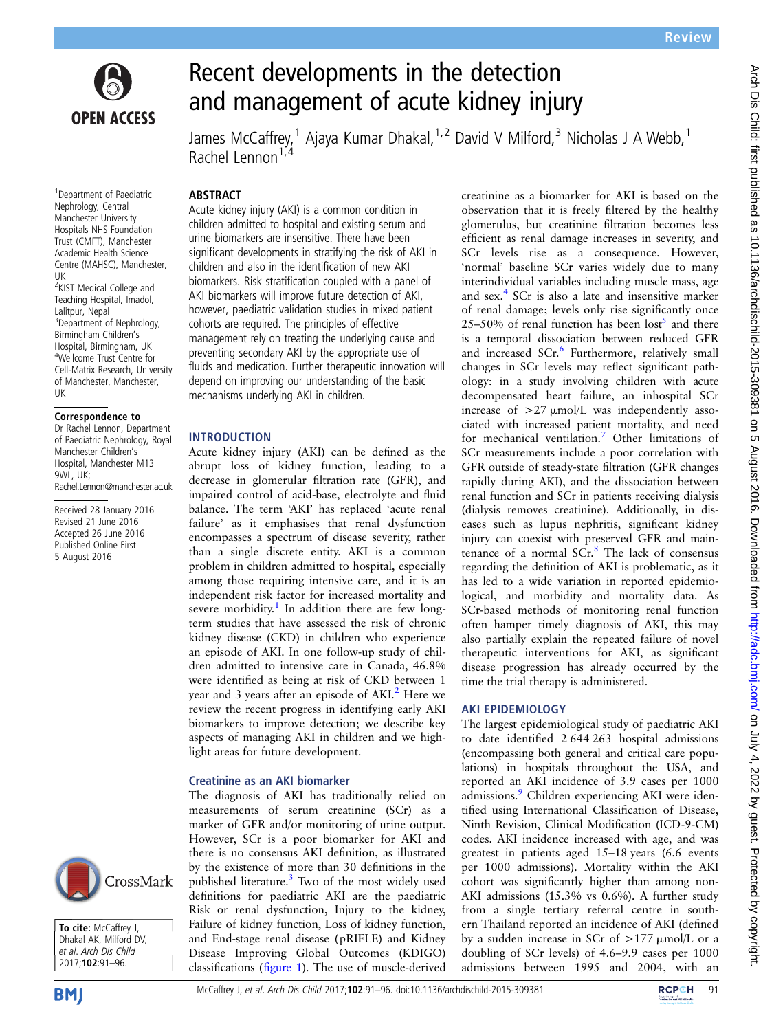

# Recent developments in the detection and management of acute kidney injury

James McCaffrey,<sup>1</sup> Ajaya Kumar Dhakal,<sup>1,2</sup> David V Milford,<sup>3</sup> Nicholas J A Webb,<sup>1</sup> Rachel Lennon<sup>1,4</sup>

#### 1 Department of Paediatric Nephrology, Central Manchester University Hospitals NHS Foundation Trust (CMFT), Manchester Academic Health Science Centre (MAHSC), Manchester, UK

ABSTRACT

Acute kidney injury (AKI) is a common condition in children admitted to hospital and existing serum and urine biomarkers are insensitive. There have been significant developments in stratifying the risk of AKI in children and also in the identification of new AKI biomarkers. Risk stratification coupled with a panel of AKI biomarkers will improve future detection of AKI, however, paediatric validation studies in mixed patient cohorts are required. The principles of effective management rely on treating the underlying cause and preventing secondary AKI by the appropriate use of fluids and medication. Further therapeutic innovation will depend on improving our understanding of the basic

mechanisms underlying AKI in children.

light areas for future development.

The diagnosis of AKI has traditionally relied on measurements of serum creatinine (SCr) as a marker of GFR and/or monitoring of urine output. However, SCr is a poor biomarker for AKI and there is no consensus AKI definition, as illustrated by the existence of more than 30 definitions in the published literature.<sup>3</sup> Two of the most widely used definitions for paediatric AKI are the paediatric Risk or renal dysfunction, Injury to the kidney, Failure of kidney function, Loss of kidney function, and End-stage renal disease (pRIFLE) and Kidney Disease Improving Global Outcomes (KDIGO) classifications (fi[gure 1\)](#page-1-0). The use of muscle-derived

Creatinine as an AKI biomarker

Acute kidney injury (AKI) can be defined as the abrupt loss of kidney function, leading to a decrease in glomerular filtration rate (GFR), and impaired control of acid-base, electrolyte and fluid balance. The term 'AKI' has replaced 'acute renal failure' as it emphasises that renal dysfunction encompasses a spectrum of disease severity, rather than a single discrete entity. AKI is a common problem in children admitted to hospital, especially among those requiring intensive care, and it is an independent risk factor for increased mortality and severe morbidity.<sup>1</sup> In addition there are few longterm studies that have assessed the risk of chronic kidney disease (CKD) in children who experience an episode of AKI. In one follow-up study of children admitted to intensive care in Canada, 46.8% were identified as being at risk of CKD between 1 year and 3 years after an episode of AKI.<sup>[2](#page-4-0)</sup> Here we review the recent progress in identifying early AKI biomarkers to improve detection; we describe key aspects of managing AKI in children and we high-

INTRODUCTION

<sup>2</sup>KIST Medical College and Teaching Hospital, Imadol, Lalitpur, Nepal <sup>3</sup>Department of Nephrology, Birmingham Children's Hospital, Birmingham, UK 4 Wellcome Trust Centre for Cell-Matrix Research, University of Manchester, Manchester, UK

#### Correspondence to

Dr Rachel Lennon, Department of Paediatric Nephrology, Royal Manchester Children's Hospital, Manchester M13  $9WI$ , UK; Rachel.Lennon@manchester.ac.uk

Received 28 January 2016 Revised 21 June 2016 Accepted 26 June 2016 Published Online First 5 August 2016





observation that it is freely filtered by the healthy glomerulus, but creatinine filtration becomes less efficient as renal damage increases in severity, and SCr levels rise as a consequence. However, 'normal' baseline SCr varies widely due to many interindividual variables including muscle mass, age and sex.[4](#page-4-0) SCr is also a late and insensitive marker of renal damage; levels only rise significantly once 2[5](#page-4-0)–50% of renal function has been  $\text{lost}^5$  and there is a temporal dissociation between reduced GFR and increased SCr.<sup>[6](#page-4-0)</sup> Furthermore, relatively small changes in SCr levels may reflect significant pathology: in a study involving children with acute decompensated heart failure, an inhospital SCr increase of  $>27$   $\mu$ mol/L was independently associated with increased patient mortality, and need for mechanical ventilation.[7](#page-4-0) Other limitations of SCr measurements include a poor correlation with GFR outside of steady-state filtration (GFR changes rapidly during AKI), and the dissociation between renal function and SCr in patients receiving dialysis (dialysis removes creatinine). Additionally, in diseases such as lupus nephritis, significant kidney injury can coexist with preserved GFR and maintenance of a normal  $SCr<sup>8</sup>$  $SCr<sup>8</sup>$  $SCr<sup>8</sup>$ . The lack of consensus regarding the definition of AKI is problematic, as it has led to a wide variation in reported epidemiological, and morbidity and mortality data. As SCr-based methods of monitoring renal function often hamper timely diagnosis of AKI, this may also partially explain the repeated failure of novel therapeutic interventions for AKI, as significant disease progression has already occurred by the time the trial therapy is administered.

creatinine as a biomarker for AKI is based on the

# AKI EPIDEMIOLOGY

The largest epidemiological study of paediatric AKI to date identified 2 644 263 hospital admissions (encompassing both general and critical care populations) in hospitals throughout the USA, and reported an AKI incidence of 3.9 cases per 1000 admissions.<sup>[9](#page-4-0)</sup> Children experiencing AKI were identified using International Classification of Disease, Ninth Revision, Clinical Modification (ICD-9-CM) codes. AKI incidence increased with age, and was greatest in patients aged 15–18 years (6.6 events per 1000 admissions). Mortality within the AKI cohort was significantly higher than among non-AKI admissions (15.3% vs 0.6%). A further study from a single tertiary referral centre in southern Thailand reported an incidence of AKI (defined by a sudden increase in SCr of  $>177 \mu$ mol/L or a doubling of SCr levels) of 4.6–9.9 cases per 1000 admissions between 1995 and 2004, with an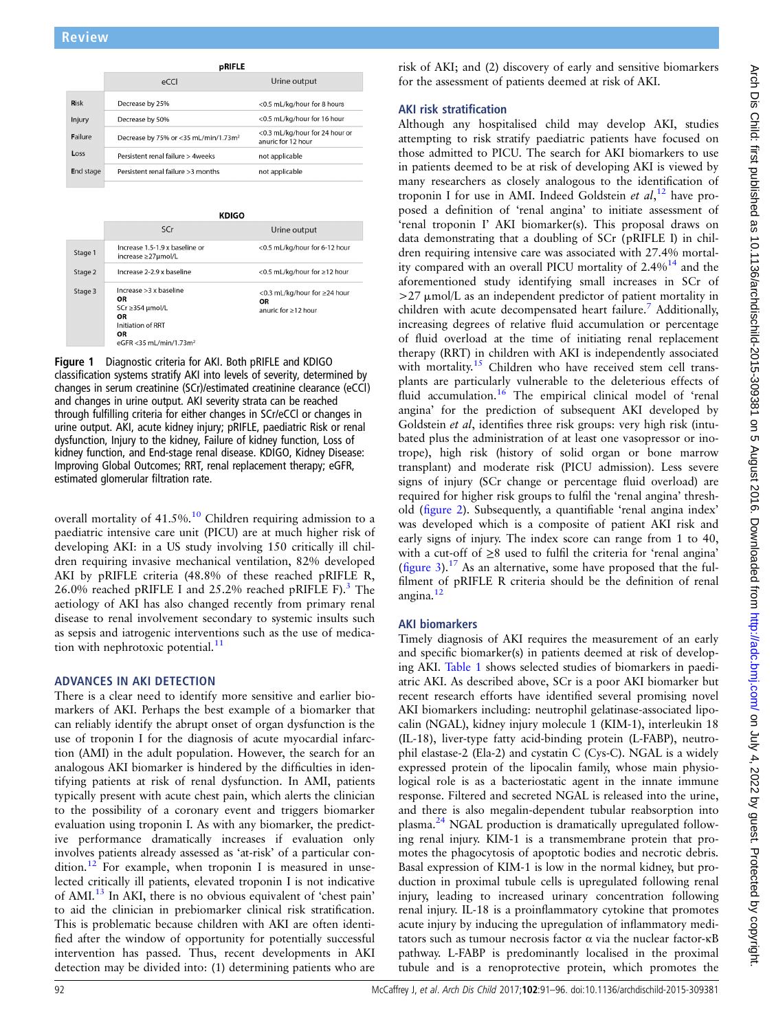<span id="page-1-0"></span>

|                  | <b>pRIFLE</b>                                    |                                                      |
|------------------|--------------------------------------------------|------------------------------------------------------|
|                  | eCCI                                             | Urine output                                         |
| Risk             | Decrease by 25%                                  | <0.5 mL/kg/hour for 8 hours                          |
| <b>Injury</b>    | Decrease by 50%                                  | <0.5 mL/kg/hour for 16 hour                          |
| Failure          | Decrease by 75% or <35 mL/min/1.73m <sup>2</sup> | <0.3 mL/kg/hour for 24 hour or<br>anuric for 12 hour |
| Loss             | Persistent renal failure > 4weeks                | not applicable                                       |
| <b>End stage</b> | Persistent renal failure >3 months               | not applicable                                       |

|         | <b>KDIGO</b>                                                                                                                  |                                                           |
|---------|-------------------------------------------------------------------------------------------------------------------------------|-----------------------------------------------------------|
|         | SCr                                                                                                                           | Urine output                                              |
| Stage 1 | Increase 1.5-1.9 x baseline or<br>increase ≥27µmol/L                                                                          | <0.5 mL/kg/hour for 6-12 hour                             |
| Stage 2 | Increase 2-2.9 x baseline                                                                                                     | <0.5 mL/kg/hour for ≥12 hour                              |
| Stage 3 | Increase > 3 x baseline<br>OR<br>SCr $\geq$ 354 umol/L<br>OR<br>Initiation of RRT<br>OR<br>eGFR <35 mL/min/1.73m <sup>2</sup> | <0.3 mL/kg/hour for ≥24 hour<br>OR<br>anuric for >12 hour |

Figure 1 Diagnostic criteria for AKI. Both pRIFLE and KDIGO classification systems stratify AKI into levels of severity, determined by changes in serum creatinine (SCr)/estimated creatinine clearance (eCCl) and changes in urine output. AKI severity strata can be reached through fulfilling criteria for either changes in SCr/eCCl or changes in urine output. AKI, acute kidney injury; pRIFLE, paediatric Risk or renal dysfunction, Injury to the kidney, Failure of kidney function, Loss of kidney function, and End-stage renal disease. KDIGO, Kidney Disease: Improving Global Outcomes; RRT, renal replacement therapy; eGFR, estimated glomerular filtration rate.

overall mortality of  $41.5\%$ .<sup>[10](#page-4-0)</sup> Children requiring admission to a paediatric intensive care unit (PICU) are at much higher risk of developing AKI: in a US study involving 150 critically ill children requiring invasive mechanical ventilation, 82% developed AKI by pRIFLE criteria (48.8% of these reached pRIFLE R, 26.0% reached pRIFLE I and 25.2% reached pRIFLE F).<sup>[3](#page-4-0)</sup> The aetiology of AKI has also changed recently from primary renal disease to renal involvement secondary to systemic insults such as sepsis and iatrogenic interventions such as the use of medication with nephrotoxic potential. $11$ 

#### ADVANCES IN AKI DETECTION

There is a clear need to identify more sensitive and earlier biomarkers of AKI. Perhaps the best example of a biomarker that can reliably identify the abrupt onset of organ dysfunction is the use of troponin I for the diagnosis of acute myocardial infarction (AMI) in the adult population. However, the search for an analogous AKI biomarker is hindered by the difficulties in identifying patients at risk of renal dysfunction. In AMI, patients typically present with acute chest pain, which alerts the clinician to the possibility of a coronary event and triggers biomarker evaluation using troponin I. As with any biomarker, the predictive performance dramatically increases if evaluation only involves patients already assessed as 'at-risk' of a particular con-dition.<sup>[12](#page-4-0)</sup> For example, when troponin I is measured in unselected critically ill patients, elevated troponin I is not indicative of AMI.<sup>[13](#page-4-0)</sup> In AKI, there is no obvious equivalent of 'chest pain' to aid the clinician in prebiomarker clinical risk stratification. This is problematic because children with AKI are often identified after the window of opportunity for potentially successful intervention has passed. Thus, recent developments in AKI detection may be divided into: (1) determining patients who are

risk of AKI; and (2) discovery of early and sensitive biomarkers for the assessment of patients deemed at risk of AKI.

### AKI risk stratification

Although any hospitalised child may develop AKI, studies attempting to risk stratify paediatric patients have focused on those admitted to PICU. The search for AKI biomarkers to use in patients deemed to be at risk of developing AKI is viewed by many researchers as closely analogous to the identification of troponin I for use in AMI. Indeed Goldstein et  $al$ ,<sup>[12](#page-4-0)</sup> have proposed a definition of 'renal angina' to initiate assessment of 'renal troponin I' AKI biomarker(s). This proposal draws on data demonstrating that a doubling of SCr (pRIFLE I) in children requiring intensive care was associated with 27.4% mortality compared with an overall PICU mortality of  $2.4\%$ <sup>[14](#page-4-0)</sup> and the aforementioned study identifying small increases in SCr of  $>27 \mu$ mol/L as an independent predictor of patient mortality in children with acute decompensated heart failure.<sup>[7](#page-4-0)</sup> Additionally, increasing degrees of relative fluid accumulation or percentage of fluid overload at the time of initiating renal replacement therapy (RRT) in children with AKI is independently associated with mortality.<sup>[15](#page-4-0)</sup> Children who have received stem cell transplants are particularly vulnerable to the deleterious effects of fluid accumulation.<sup>16</sup> The empirical clinical model of 'renal angina' for the prediction of subsequent AKI developed by Goldstein et al, identifies three risk groups: very high risk (intubated plus the administration of at least one vasopressor or inotrope), high risk (history of solid organ or bone marrow transplant) and moderate risk (PICU admission). Less severe signs of injury (SCr change or percentage fluid overload) are required for higher risk groups to fulfil the 'renal angina' threshold (fi[gure 2](#page-2-0)). Subsequently, a quantifiable 'renal angina index' was developed which is a composite of patient AKI risk and early signs of injury. The index score can range from 1 to 40, with a cut-off of ≥8 used to fulfil the criteria for 'renal angina' (fi[gure 3\)](#page-2-0).<sup>[17](#page-4-0)</sup> As an alternative, some have proposed that the fulfilment of pRIFLE R criteria should be the definition of renal angina.<sup>12</sup>

#### AKI biomarkers

Timely diagnosis of AKI requires the measurement of an early and specific biomarker(s) in patients deemed at risk of developing AKI. [Table 1](#page-3-0) shows selected studies of biomarkers in paediatric AKI. As described above, SCr is a poor AKI biomarker but recent research efforts have identified several promising novel AKI biomarkers including: neutrophil gelatinase-associated lipocalin (NGAL), kidney injury molecule 1 (KIM-1), interleukin 18 (IL-18), liver-type fatty acid-binding protein (L-FABP), neutrophil elastase-2 (Ela-2) and cystatin C (Cys-C). NGAL is a widely expressed protein of the lipocalin family, whose main physiological role is as a bacteriostatic agent in the innate immune response. Filtered and secreted NGAL is released into the urine, and there is also megalin-dependent tubular reabsorption into plasma[.24](#page-5-0) NGAL production is dramatically upregulated following renal injury. KIM-1 is a transmembrane protein that promotes the phagocytosis of apoptotic bodies and necrotic debris. Basal expression of KIM-1 is low in the normal kidney, but production in proximal tubule cells is upregulated following renal injury, leading to increased urinary concentration following renal injury. IL-18 is a proinflammatory cytokine that promotes acute injury by inducing the upregulation of inflammatory meditators such as tumour necrosis factor α via the nuclear factor-κB pathway. L-FABP is predominantly localised in the proximal tubule and is a renoprotective protein, which promotes the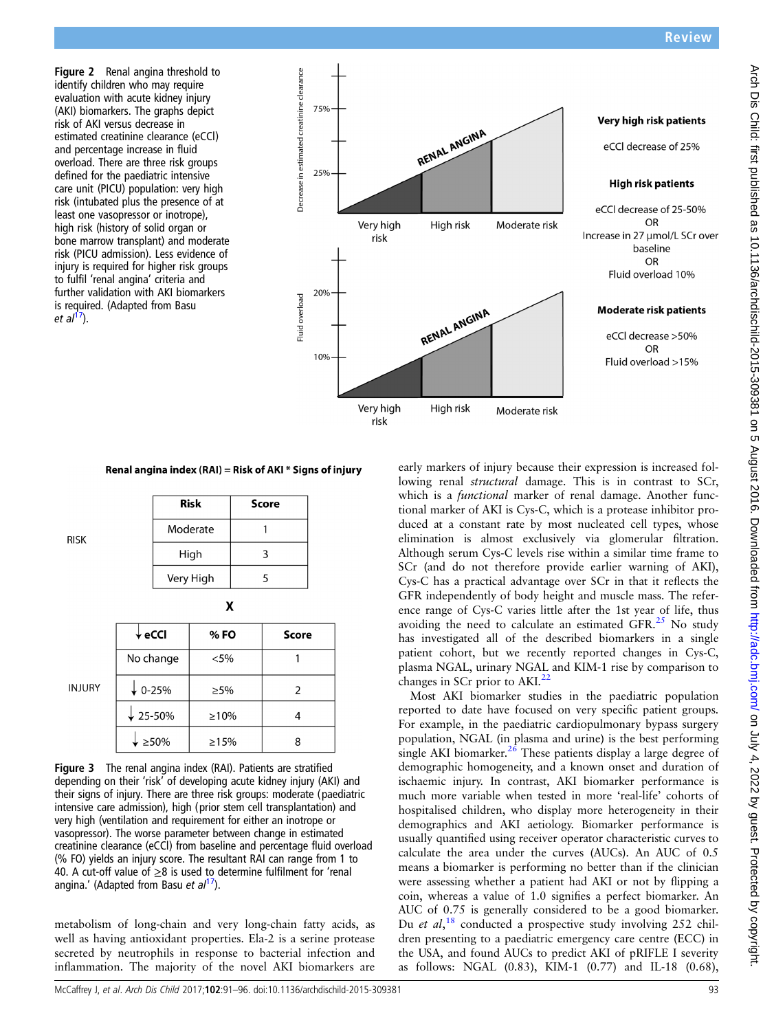<span id="page-2-0"></span>Figure 2 Renal angina threshold to identify children who may require evaluation with acute kidney injury (AKI) biomarkers. The graphs depict risk of AKI versus decrease in estimated creatinine clearance (eCCl) and percentage increase in fluid overload. There are three risk groups defined for the paediatric intensive care unit (PICU) population: very high risk (intubated plus the presence of at least one vasopressor or inotrope), high risk (history of solid organ or bone marrow transplant) and moderate risk (PICU admission). Less evidence of injury is required for higher risk groups to fulfil 'renal angina' criteria and further validation with AKI biomarkers is required. (Adapted from Basu et  $al^{17}$ ).



Renal angina index (RAI) = Risk of AKI \* Signs of injury

|             | <b>Risk</b> | <b>Score</b> |
|-------------|-------------|--------------|
| <b>RISK</b> | Moderate    |              |
|             | High        | 3            |
|             | Very High   | 5            |
|             |             | x            |

| <b>INJURY</b> | $\downarrow$ eCCl   | %FO         | Score |
|---------------|---------------------|-------------|-------|
|               | No change           | $< 5\%$     |       |
|               | $\downarrow$ 0-25%  | $\geq 5\%$  | 2     |
|               | $\downarrow$ 25-50% | $\geq 10\%$ |       |
|               | $\downarrow$ ≥50%   | $\ge 15\%$  |       |

Figure 3 The renal angina index (RAI). Patients are stratified depending on their 'risk' of developing acute kidney injury (AKI) and their signs of injury. There are three risk groups: moderate (paediatric intensive care admission), high (prior stem cell transplantation) and very high (ventilation and requirement for either an inotrope or vasopressor). The worse parameter between change in estimated creatinine clearance (eCCl) from baseline and percentage fluid overload (% FO) yields an injury score. The resultant RAI can range from 1 to 40. A cut-off value of  $\geq 8$  is used to determine fulfilment for 'renal angina.' (Adapted from Basu et  $al^{1'}$ ).

metabolism of long-chain and very long-chain fatty acids, as well as having antioxidant properties. Ela-2 is a serine protease secreted by neutrophils in response to bacterial infection and inflammation. The majority of the novel AKI biomarkers are

early markers of injury because their expression is increased following renal structural damage. This is in contrast to SCr, which is a *functional* marker of renal damage. Another functional marker of AKI is Cys-C, which is a protease inhibitor produced at a constant rate by most nucleated cell types, whose elimination is almost exclusively via glomerular filtration. Although serum Cys-C levels rise within a similar time frame to SCr (and do not therefore provide earlier warning of AKI), Cys-C has a practical advantage over SCr in that it reflects the GFR independently of body height and muscle mass. The reference range of Cys-C varies little after the 1st year of life, thus avoiding the need to calculate an estimated GFR $^{25}$  $^{25}$  $^{25}$  No study has investigated all of the described biomarkers in a single patient cohort, but we recently reported changes in Cys-C, plasma NGAL, urinary NGAL and KIM-1 rise by comparison to changes in SCr prior to AKI.<sup>[22](#page-4-0)</sup>

Most AKI biomarker studies in the paediatric population reported to date have focused on very specific patient groups. For example, in the paediatric cardiopulmonary bypass surgery population, NGAL (in plasma and urine) is the best performing single AKI biomarker. $26$  These patients display a large degree of demographic homogeneity, and a known onset and duration of ischaemic injury. In contrast, AKI biomarker performance is much more variable when tested in more 'real-life' cohorts of hospitalised children, who display more heterogeneity in their demographics and AKI aetiology. Biomarker performance is usually quantified using receiver operator characteristic curves to calculate the area under the curves (AUCs). An AUC of 0.5 means a biomarker is performing no better than if the clinician were assessing whether a patient had AKI or not by flipping a coin, whereas a value of 1.0 signifies a perfect biomarker. An AUC of 0.75 is generally considered to be a good biomarker. Du et al,<sup>[18](#page-4-0)</sup> conducted a prospective study involving 252 children presenting to a paediatric emergency care centre (ECC) in the USA, and found AUCs to predict AKI of pRIFLE I severity as follows: NGAL (0.83), KIM-1 (0.77) and IL-18 (0.68),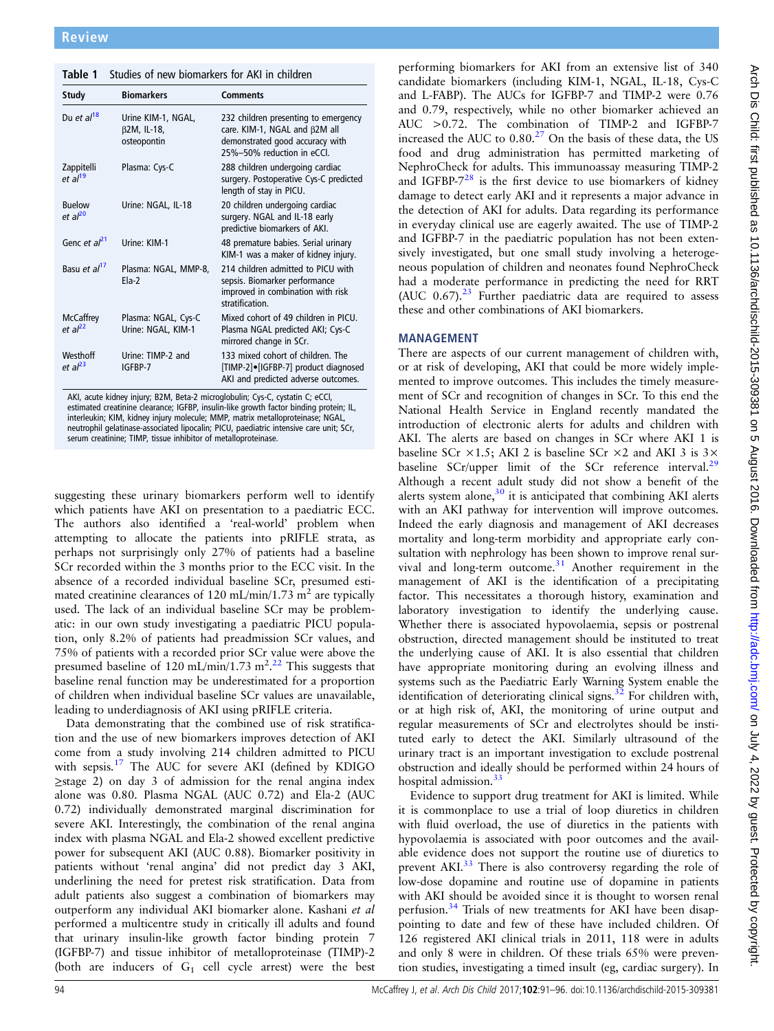<span id="page-3-0"></span>

| $C + \cdots + C$ | <b>Diamarkarc</b> | Gamma                                                        |  |
|------------------|-------------------|--------------------------------------------------------------|--|
|                  |                   | <b>Table 1</b> Studies of new biomarkers for AKI in children |  |

| Study                                | <b>Biomarkers</b>                                       | <b>Comments</b>                                                                                                                                                                               |
|--------------------------------------|---------------------------------------------------------|-----------------------------------------------------------------------------------------------------------------------------------------------------------------------------------------------|
| Du et $al^{18}$                      | Urine KIM-1, NGAL,<br>$\beta$ 2M, IL-18,<br>osteopontin | 232 children presenting to emergency<br>care. KIM-1, NGAL and B2M all<br>demonstrated good accuracy with<br>25%-50% reduction in eCCI.                                                        |
| Zappitelli<br>et al <sup>19</sup>    | Plasma: Cys-C                                           | 288 children undergoing cardiac<br>surgery. Postoperative Cys-C predicted<br>length of stay in PICU.                                                                                          |
| <b>Buelow</b><br>et al <sup>20</sup> | Urine: NGAL, IL-18                                      | 20 children undergoing cardiac<br>surgery. NGAL and IL-18 early<br>predictive biomarkers of AKI.                                                                                              |
| Genc et al <sup>21</sup>             | Urine: KIM-1                                            | 48 premature babies. Serial urinary<br>KIM-1 was a maker of kidney injury.                                                                                                                    |
| Basu et al <sup>17</sup>             | Plasma: NGAL, MMP-8,<br>$Fla-2$                         | 214 children admitted to PICU with<br>sepsis. Biomarker performance<br>improved in combination with risk<br>stratification.                                                                   |
| McCaffrey<br>et al <sup>22</sup>     | Plasma: NGAL, Cys-C<br>Urine: NGAL, KIM-1               | Mixed cohort of 49 children in PICU.<br>Plasma NGAL predicted AKI; Cys-C<br>mirrored change in SCr.                                                                                           |
| Westhoff<br>et al <sup>23</sup>      | Urine: TIMP-2 and<br>IGFBP-7                            | 133 mixed cohort of children. The<br>[TIMP-2]•[IGFBP-7] product diagnosed<br>AKI and predicted adverse outcomes.<br>AKL exists bideau iniumu DOM, Dete 2 mismalabulin: Cur C, mutatin C; eCCL |

KI, acute kidney injury; B2M, Beta-2 microglobulin; Cys estimated creatinine clearance; IGFBP, insulin-like growth factor binding protein; IL, interleukin; KIM, kidney injury molecule; MMP, matrix metalloproteinase; NGAL, neutrophil gelatinase-associated lipocalin; PICU, paediatric intensive care unit; SCr, serum creatinine; TIMP, tissue inhibitor of metalloproteinase.

suggesting these urinary biomarkers perform well to identify which patients have AKI on presentation to a paediatric ECC. The authors also identified a 'real-world' problem when attempting to allocate the patients into pRIFLE strata, as perhaps not surprisingly only 27% of patients had a baseline SCr recorded within the 3 months prior to the ECC visit. In the absence of a recorded individual baseline SCr, presumed estimated creatinine clearances of 120 mL/min/1.73 m<sup>2</sup> are typically used. The lack of an individual baseline SCr may be problematic: in our own study investigating a paediatric PICU population, only 8.2% of patients had preadmission SCr values, and 75% of patients with a recorded prior SCr value were above the presumed baseline of 120 mL/min/1.73 m<sup>2</sup>.<sup>[22](#page-4-0)</sup> This suggests that baseline renal function may be underestimated for a proportion of children when individual baseline SCr values are unavailable, leading to underdiagnosis of AKI using pRIFLE criteria.

Data demonstrating that the combined use of risk stratification and the use of new biomarkers improves detection of AKI come from a study involving 214 children admitted to PICU with sepsis.<sup>[17](#page-4-0)</sup> The AUC for severe AKI (defined by KDIGO ≥stage 2) on day 3 of admission for the renal angina index alone was 0.80. Plasma NGAL (AUC 0.72) and Ela-2 (AUC 0.72) individually demonstrated marginal discrimination for severe AKI. Interestingly, the combination of the renal angina index with plasma NGAL and Ela-2 showed excellent predictive power for subsequent AKI (AUC 0.88). Biomarker positivity in patients without 'renal angina' did not predict day 3 AKI, underlining the need for pretest risk stratification. Data from adult patients also suggest a combination of biomarkers may outperform any individual AKI biomarker alone. Kashani et al performed a multicentre study in critically ill adults and found that urinary insulin-like growth factor binding protein 7 (IGFBP-7) and tissue inhibitor of metalloproteinase (TIMP)-2 (both are inducers of  $G_1$  cell cycle arrest) were the best

performing biomarkers for AKI from an extensive list of 340 candidate biomarkers (including KIM-1, NGAL, IL-18, Cys-C and L-FABP). The AUCs for IGFBP-7 and TIMP-2 were 0.76 and 0.79, respectively, while no other biomarker achieved an AUC >0.72. The combination of TIMP-2 and IGFBP-7 increased the AUC to  $0.80<sup>27</sup>$  $0.80<sup>27</sup>$  $0.80<sup>27</sup>$  On the basis of these data, the US food and drug administration has permitted marketing of NephroCheck for adults. This immunoassay measuring TIMP-2 and IGFBP- $7^{28}$  $7^{28}$  $7^{28}$  is the first device to use biomarkers of kidney damage to detect early AKI and it represents a major advance in the detection of AKI for adults. Data regarding its performance in everyday clinical use are eagerly awaited. The use of TIMP-2 and IGFBP-7 in the paediatric population has not been extensively investigated, but one small study involving a heterogeneous population of children and neonates found NephroCheck had a moderate performance in predicting the need for RRT (AUC 0.67).[23](#page-4-0) Further paediatric data are required to assess these and other combinations of AKI biomarkers.

#### MANAGEMENT

There are aspects of our current management of children with, or at risk of developing, AKI that could be more widely implemented to improve outcomes. This includes the timely measurement of SCr and recognition of changes in SCr. To this end the National Health Service in England recently mandated the introduction of electronic alerts for adults and children with AKI. The alerts are based on changes in SCr where AKI 1 is baseline SCr  $\times$ 1.5; AKI 2 is baseline SCr  $\times$ 2 and AKI 3 is 3 $\times$ baseline SCr/upper limit of the SCr reference interval.<sup>[29](#page-5-0)</sup> Although a recent adult study did not show a benefit of the alerts system alone, $30$  it is anticipated that combining AKI alerts with an AKI pathway for intervention will improve outcomes. Indeed the early diagnosis and management of AKI decreases mortality and long-term morbidity and appropriate early consultation with nephrology has been shown to improve renal survival and long-term outcome. $31$  Another requirement in the management of AKI is the identification of a precipitating factor. This necessitates a thorough history, examination and laboratory investigation to identify the underlying cause. Whether there is associated hypovolaemia, sepsis or postrenal obstruction, directed management should be instituted to treat the underlying cause of AKI. It is also essential that children have appropriate monitoring during an evolving illness and systems such as the Paediatric Early Warning System enable the identification of deteriorating clinical signs. $32$  For children with, or at high risk of, AKI, the monitoring of urine output and regular measurements of SCr and electrolytes should be instituted early to detect the AKI. Similarly ultrasound of the urinary tract is an important investigation to exclude postrenal obstruction and ideally should be performed within 24 hours of hospital admission.<sup>[33](#page-5-0)</sup>

Evidence to support drug treatment for AKI is limited. While it is commonplace to use a trial of loop diuretics in children with fluid overload, the use of diuretics in the patients with hypovolaemia is associated with poor outcomes and the available evidence does not support the routine use of diuretics to prevent AKI.<sup>[33](#page-5-0)</sup> There is also controversy regarding the role of low-dose dopamine and routine use of dopamine in patients with AKI should be avoided since it is thought to worsen renal perfusion.<sup>[34](#page-5-0)</sup> Trials of new treatments for AKI have been disappointing to date and few of these have included children. Of 126 registered AKI clinical trials in 2011, 118 were in adults and only 8 were in children. Of these trials 65% were prevention studies, investigating a timed insult (eg, cardiac surgery). In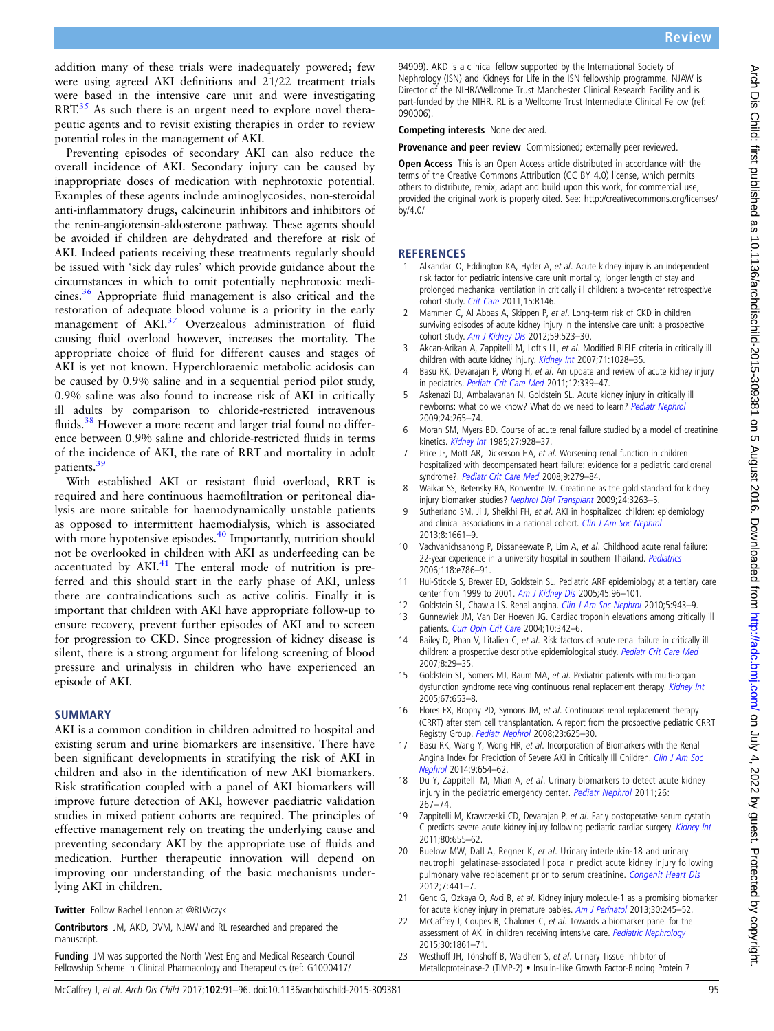<span id="page-4-0"></span>addition many of these trials were inadequately powered; few were using agreed AKI definitions and 21/22 treatment trials were based in the intensive care unit and were investigating  $RRT<sup>35</sup>$  $RRT<sup>35</sup>$  $RRT<sup>35</sup>$  As such there is an urgent need to explore novel therapeutic agents and to revisit existing therapies in order to review potential roles in the management of AKI. Preventing episodes of secondary AKI can also reduce the

overall incidence of AKI. Secondary injury can be caused by inappropriate doses of medication with nephrotoxic potential. Examples of these agents include aminoglycosides, non-steroidal anti-inflammatory drugs, calcineurin inhibitors and inhibitors of the renin-angiotensin-aldosterone pathway. These agents should be avoided if children are dehydrated and therefore at risk of AKI. Indeed patients receiving these treatments regularly should be issued with 'sick day rules' which provide guidance about the circumstances in which to omit potentially nephrotoxic medicines[.36](#page-5-0) Appropriate fluid management is also critical and the restoration of adequate blood volume is a priority in the early management of AKI.<sup>[37](#page-5-0)</sup> Overzealous administration of fluid causing fluid overload however, increases the mortality. The appropriate choice of fluid for different causes and stages of AKI is yet not known. Hyperchloraemic metabolic acidosis can be caused by 0.9% saline and in a sequential period pilot study, 0.9% saline was also found to increase risk of AKI in critically ill adults by comparison to chloride-restricted intravenous fluids.<sup>[38](#page-5-0)</sup> However a more recent and larger trial found no difference between 0.9% saline and chloride-restricted fluids in terms of the incidence of AKI, the rate of RRT and mortality in adult patients.<sup>[39](#page-5-0)</sup>

With established AKI or resistant fluid overload, RRT is required and here continuous haemofiltration or peritoneal dialysis are more suitable for haemodynamically unstable patients as opposed to intermittent haemodialysis, which is associated with more hypotensive episodes.<sup>[40](#page-5-0)</sup> Importantly, nutrition should not be overlooked in children with AKI as underfeeding can be accentuated by  $AKI<sup>41</sup>$  $AKI<sup>41</sup>$  $AKI<sup>41</sup>$ . The enteral mode of nutrition is preferred and this should start in the early phase of AKI, unless there are contraindications such as active colitis. Finally it is important that children with AKI have appropriate follow-up to ensure recovery, prevent further episodes of AKI and to screen for progression to CKD. Since progression of kidney disease is silent, there is a strong argument for lifelong screening of blood pressure and urinalysis in children who have experienced an episode of AKI.

#### SUMMARY

AKI is a common condition in children admitted to hospital and existing serum and urine biomarkers are insensitive. There have been significant developments in stratifying the risk of AKI in children and also in the identification of new AKI biomarkers. Risk stratification coupled with a panel of AKI biomarkers will improve future detection of AKI, however paediatric validation studies in mixed patient cohorts are required. The principles of effective management rely on treating the underlying cause and preventing secondary AKI by the appropriate use of fluids and medication. Further therapeutic innovation will depend on improving our understanding of the basic mechanisms underlying AKI in children.

Twitter Follow Rachel Lennon at [@RLWczyk](http://twitter.com/RLWczyk)

Contributors JM, AKD, DVM, NJAW and RL researched and prepared the manuscript.

Funding JM was supported the North West England Medical Research Council Fellowship Scheme in Clinical Pharmacology and Therapeutics (ref: G1000417/

94909). AKD is a clinical fellow supported by the International Society of Nephrology (ISN) and Kidneys for Life in the ISN fellowship programme. NJAW is Director of the NIHR/Wellcome Trust Manchester Clinical Research Facility and is part-funded by the NIHR. RL is a Wellcome Trust Intermediate Clinical Fellow (ref: 090006)

Competing interests None declared.

Provenance and peer review Commissioned; externally peer reviewed.

Open Access This is an Open Access article distributed in accordance with the terms of the Creative Commons Attribution (CC BY 4.0) license, which permits others to distribute, remix, adapt and build upon this work, for commercial use, provided the original work is properly cited. See: [http://creativecommons.org/licenses/](http://creativecommons.org/licenses/by/4.0/) [by/4.0/](http://creativecommons.org/licenses/by/4.0/)

#### **REFERENCES**

- Alkandari O, Eddington KA, Hyder A, et al. Acute kidney injury is an independent risk factor for pediatric intensive care unit mortality, longer length of stay and prolonged mechanical ventilation in critically ill children: a two-center retrospective cohort study. [Crit Care](http://dx.doi.org/10.1186/cc10269) 2011;15:R146.
- Mammen C, Al Abbas A, Skippen P, et al. Long-term risk of CKD in children surviving episodes of acute kidney injury in the intensive care unit: a prospective cohort study. [Am J Kidney Dis](http://dx.doi.org/10.1053/j.ajkd.2011.10.048) 2012;59:523–30.
- 3 Akcan-Arikan A, Zappitelli M, Loftis LL, et al. Modified RIFLE criteria in critically ill children with acute kidney injury. [Kidney Int](http://dx.doi.org/10.1038/sj.ki.5002231) 2007;71:1028-35.
- 4 Basu RK, Devarajan P, Wong H, et al. An update and review of acute kidney injury in pediatrics. [Pediatr Crit Care Med](http://dx.doi.org/10.1097/PCC.0b013e3181fe2e0b) 2011;12:339-47.
- Askenazi DJ, Ambalavanan N, Goldstein SL. Acute kidney injury in critically ill newborns: what do we know? What do we need to learn? [Pediatr Nephrol](http://dx.doi.org/10.1007/s00467-008-1060-2) 2009;24:265–74.
- Moran SM, Myers BD. Course of acute renal failure studied by a model of creatinine kinetics. [Kidney Int](http://dx.doi.org/10.1038/ki.1985.101) 1985;27:928–37.
- 7 Price JF, Mott AR, Dickerson HA, et al. Worsening renal function in children hospitalized with decompensated heart failure: evidence for a pediatric cardiorenal syndrome?. [Pediatr Crit Care Med](http://dx.doi.org/10.1097/PCC.0b013e31816c6ed1) 2008;9:279-84.
- Waikar SS, Betensky RA, Bonventre JV. Creatinine as the gold standard for kidney injury biomarker studies? [Nephrol Dial Transplant](http://dx.doi.org/10.1093/ndt/gfp428) 2009;24:3263-5.
- 9 Sutherland SM, Ji J, Sheikhi FH, et al. AKI in hospitalized children: epidemiology and clinical associations in a national cohort. [Clin J Am Soc Nephrol](http://dx.doi.org/10.2215/CJN.00270113) 2013;8:1661–9.
- 10 Vachvanichsanong P, Dissaneewate P, Lim A, et al. Childhood acute renal failure: 22-year experience in a university hospital in southern Thailand. [Pediatrics](http://dx.doi.org/10.1542/peds.2006-0557) 2006;118:e786–91.
- 11 Hui-Stickle S, Brewer ED, Goldstein SL. Pediatric ARF epidemiology at a tertiary care center from 1999 to 2001. [Am J Kidney Dis](http://dx.doi.org/10.1053/j.ajkd.2004.09.028) 2005;45:96-101.
- 12 Goldstein SL, Chawla LS. Renal angina. [Clin J Am Soc Nephrol](http://dx.doi.org/10.2215/CJN.07201009) 2010;5:943-9.
- 13 Gunnewiek JM, Van Der Hoeven JG. Cardiac troponin elevations among critically ill patients. [Curr Opin Crit Care](http://dx.doi.org/10.1097/01.ccx.0000135514.20538.44) 2004;10:342-6.
- 14 Bailey D, Phan V, Litalien C, et al. Risk factors of acute renal failure in critically ill children: a prospective descriptive epidemiological study. [Pediatr Crit Care Med](http://dx.doi.org/10.1097/01.pcc.0000256612.40265.67) 2007;8:29–35.
- 15 Goldstein SL, Somers MJ, Baum MA, et al. Pediatric patients with multi-organ dysfunction syndrome receiving continuous renal replacement therapy. [Kidney Int](http://dx.doi.org/10.1111/j.1523-1755.2005.67121.x) 2005;67:653–8.
- Flores FX, Brophy PD, Symons JM, et al. Continuous renal replacement therapy (CRRT) after stem cell transplantation. A report from the prospective pediatric CRRT Registry Group. [Pediatr Nephrol](http://dx.doi.org/10.1007/s00467-007-0672-2) 2008;23:625–30.
- 17 Basu RK, Wang Y, Wong HR, et al. Incorporation of Biomarkers with the Renal Angina Index for Prediction of Severe AKI in Critically Ill Children. [Clin J Am Soc](http://dx.doi.org/10.2215/CJN.09720913) [Nephrol](http://dx.doi.org/10.2215/CJN.09720913) 2014;9:654–62.
- 18 Du Y, Zappitelli M, Mian A, et al. Urinary biomarkers to detect acute kidney injury in the pediatric emergency center. [Pediatr Nephrol](http://dx.doi.org/10.1007/s00467-010-1673-0) 2011;26: 267–74.
- 19 Zappitelli M, Krawczeski CD, Devarajan P, et al. Early postoperative serum cystatin C predicts severe acute kidney injury following pediatric cardiac surgery. [Kidney Int](http://dx.doi.org/10.1038/ki.2011.123) 2011;80:655–62.
- 20 Buelow MW, Dall A, Regner K, et al. Urinary interleukin-18 and urinary neutrophil gelatinase-associated lipocalin predict acute kidney injury following pulmonary valve replacement prior to serum creatinine. [Congenit Heart Dis](http://dx.doi.org/10.1111/j.1747-0803.2012.00662.x) 2012;7:441–7.
- 21 Genc G, Ozkaya O, Avci B, et al. Kidney injury molecule-1 as a promising biomarker for acute kidney injury in premature babies. [Am J Perinatol](http://dx.doi.org/10.1055/s-0032-1323587) 2013;30:245-52.
- 22 McCaffrey J, Coupes B, Chaloner C, et al. Towards a biomarker panel for the assessment of AKI in children receiving intensive care. [Pediatric Nephrology](http://dx.doi.org/10.1007/s00467-015-3089-3) 2015;30:1861–71.
- 23 Westhoff JH, Tönshoff B, Waldherr S, et al. Urinary Tissue Inhibitor of Metalloproteinase-2 (TIMP-2) • Insulin-Like Growth Factor-Binding Protein 7